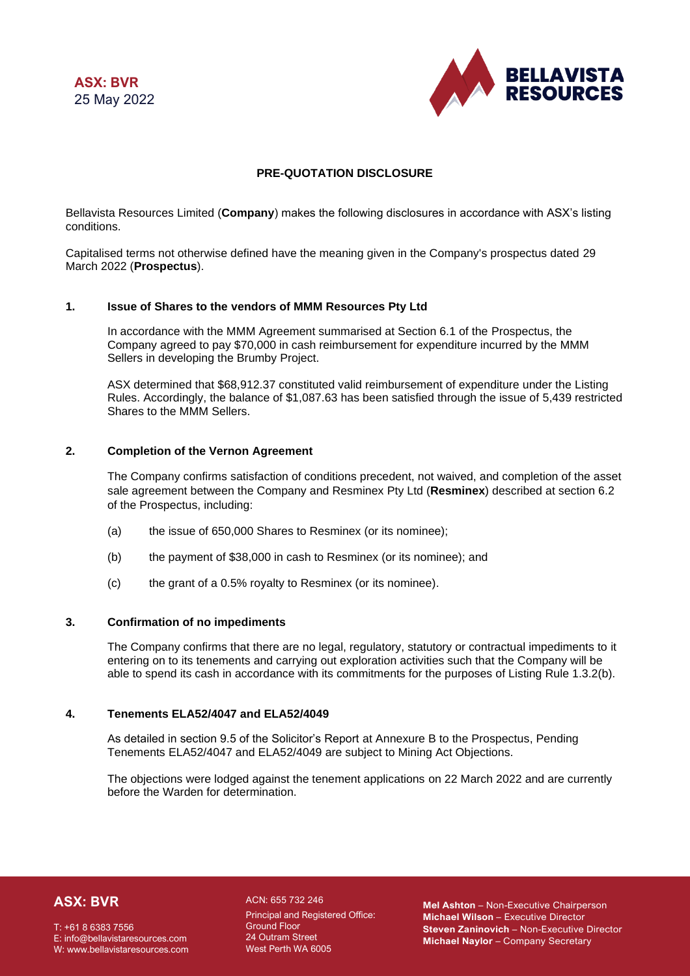**ASX: BVR** 25 May 2022



### **PRE-QUOTATION DISCLOSURE**

Bellavista Resources Limited (**Company**) makes the following disclosures in accordance with ASX's listing conditions.

Capitalised terms not otherwise defined have the meaning given in the Company's prospectus dated 29 March 2022 (**Prospectus**).

#### **1. Issue of Shares to the vendors of MMM Resources Pty Ltd**

In accordance with the MMM Agreement summarised at Section 6.1 of the Prospectus, the Company agreed to pay \$70,000 in cash reimbursement for expenditure incurred by the MMM Sellers in developing the Brumby Project.

ASX determined that \$68,912.37 constituted valid reimbursement of expenditure under the Listing Rules. Accordingly, the balance of \$1,087.63 has been satisfied through the issue of 5,439 restricted Shares to the MMM Sellers.

### **2. Completion of the Vernon Agreement**

The Company confirms satisfaction of conditions precedent, not waived, and completion of the asset sale agreement between the Company and Resminex Pty Ltd (**Resminex**) described at section 6.2 of the Prospectus, including:

- (a) the issue of 650,000 Shares to Resminex (or its nominee);
- (b) the payment of \$38,000 in cash to Resminex (or its nominee); and
- (c) the grant of a 0.5% royalty to Resminex (or its nominee).

#### **3. Confirmation of no impediments**

The Company confirms that there are no legal, regulatory, statutory or contractual impediments to it entering on to its tenements and carrying out exploration activities such that the Company will be able to spend its cash in accordance with its commitments for the purposes of Listing Rule 1.3.2(b).

### **4. Tenements ELA52/4047 and ELA52/4049**

As detailed in section 9.5 of the Solicitor's Report at Annexure B to the Prospectus, Pending Tenements ELA52/4047 and ELA52/4049 are subject to Mining Act Objections.

The objections were lodged against the tenement applications on 22 March 2022 and are currently before the Warden for determination.

# **ASX: BVR**

T: +61 8 6383 7556 E: info@bellavistaresources.com W: www.bellavistaresources.com

ACN: 655 732 246 Principal and Registered Office: Ground Floor 24 Outram Street West Perth WA 6005

**Mel Ashton** – Non-Executive Chairperson **Michael Wilson** – Executive Director **Steven Zaninovich** – Non-Executive Director **Michael Naylor** – Company Secretary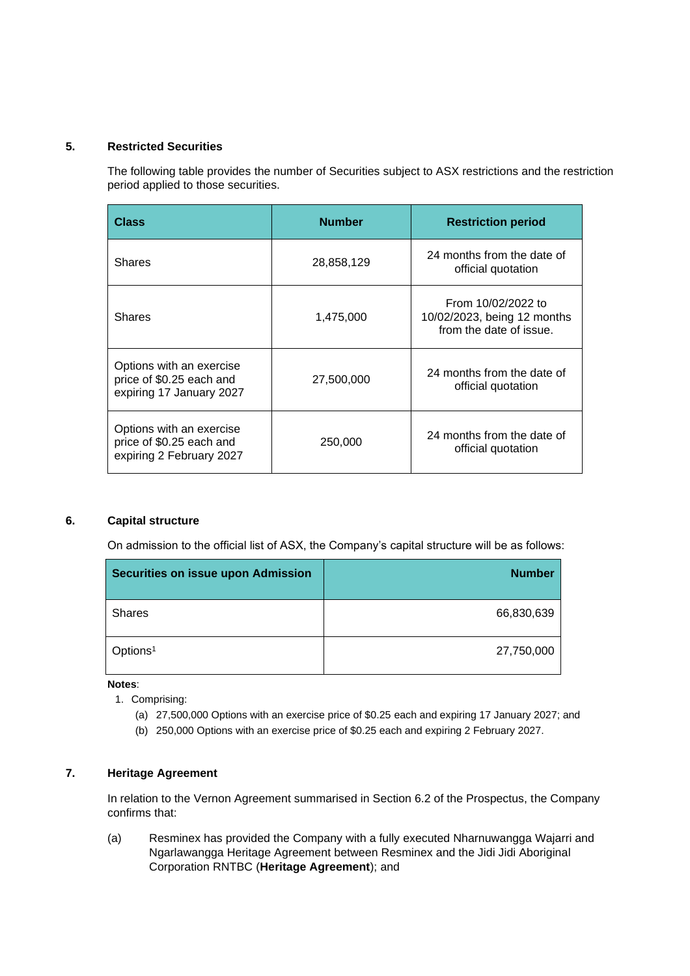# **5. Restricted Securities**

The following table provides the number of Securities subject to ASX restrictions and the restriction period applied to those securities.

| <b>Class</b>                                                                     | <b>Number</b> | <b>Restriction period</b>                                                    |
|----------------------------------------------------------------------------------|---------------|------------------------------------------------------------------------------|
| <b>Shares</b>                                                                    | 28,858,129    | 24 months from the date of<br>official quotation                             |
| <b>Shares</b>                                                                    | 1,475,000     | From 10/02/2022 to<br>10/02/2023, being 12 months<br>from the date of issue. |
| Options with an exercise<br>price of \$0.25 each and<br>expiring 17 January 2027 | 27,500,000    | 24 months from the date of<br>official quotation                             |
| Options with an exercise<br>price of \$0.25 each and<br>expiring 2 February 2027 | 250,000       | 24 months from the date of<br>official quotation                             |

# **6. Capital structure**

On admission to the official list of ASX, the Company's capital structure will be as follows:

| <b>Securities on issue upon Admission</b> | <b>Number</b> |
|-------------------------------------------|---------------|
| <b>Shares</b>                             | 66,830,639    |
| Options <sup>1</sup>                      | 27,750,000    |

**Notes**:

- 1. Comprising:
	- (a) 27,500,000 Options with an exercise price of \$0.25 each and expiring 17 January 2027; and
	- (b) 250,000 Options with an exercise price of \$0.25 each and expiring 2 February 2027.

## **7. Heritage Agreement**

In relation to the Vernon Agreement summarised in Section 6.2 of the Prospectus, the Company confirms that:

(a) Resminex has provided the Company with a fully executed Nharnuwangga Wajarri and Ngarlawangga Heritage Agreement between Resminex and the Jidi Jidi Aboriginal Corporation RNTBC (**Heritage Agreement**); and